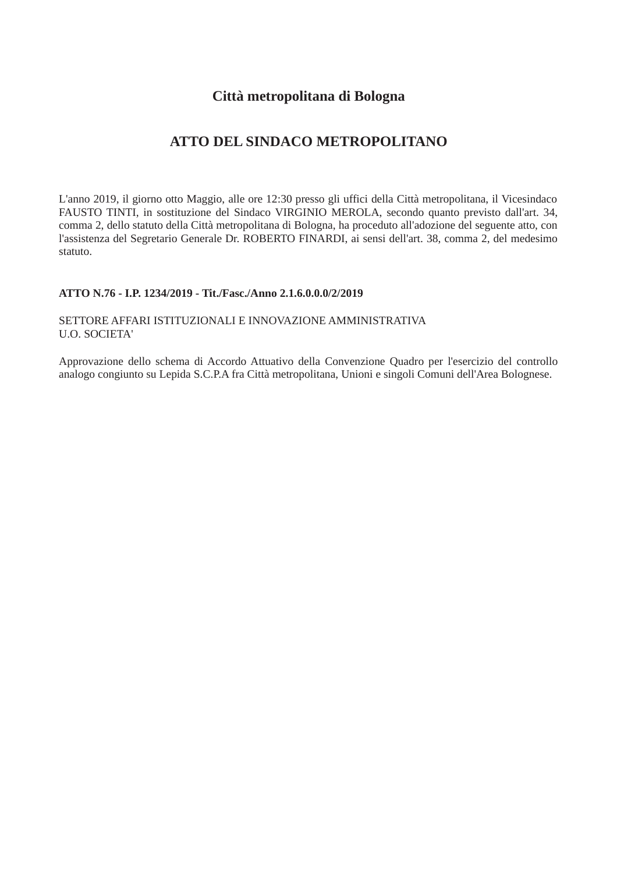# Città metropolitana di Bologna

# ATTO DEL SINDACO METROPOLITANO

L'anno 2019, il giorno otto Maggio, alle ore 12:30 presso gli uffici della Città metropolitana, il Vicesindaco FAUSTO TINTI, in sostituzione del Sindaco VIRGINIO MEROLA, secondo quanto previsto dall'art. 34, comma 2, dello statuto della Città metropolitana di Bologna, ha proceduto all'adozione del seguente atto, con l'assistenza del Segretario Generale Dr. ROBERTO FINARDI, ai sensi dell'art. 38, comma 2, del medesimo statuto.

## ATTO N.76 - I.P. 1234/2019 - Tit./Fasc./Anno 2.1.6.0.0.0/2/2019

# SETTORE AFFARI ISTITUZIONALI E INNOVAZIONE AMMINISTRATIVA **U.O. SOCIETA'**

Approvazione dello schema di Accordo Attuativo della Convenzione Quadro per l'esercizio del controllo analogo congiunto su Lepida S.C.P.A fra Città metropolitana, Unioni e singoli Comuni dell'Area Bolognese.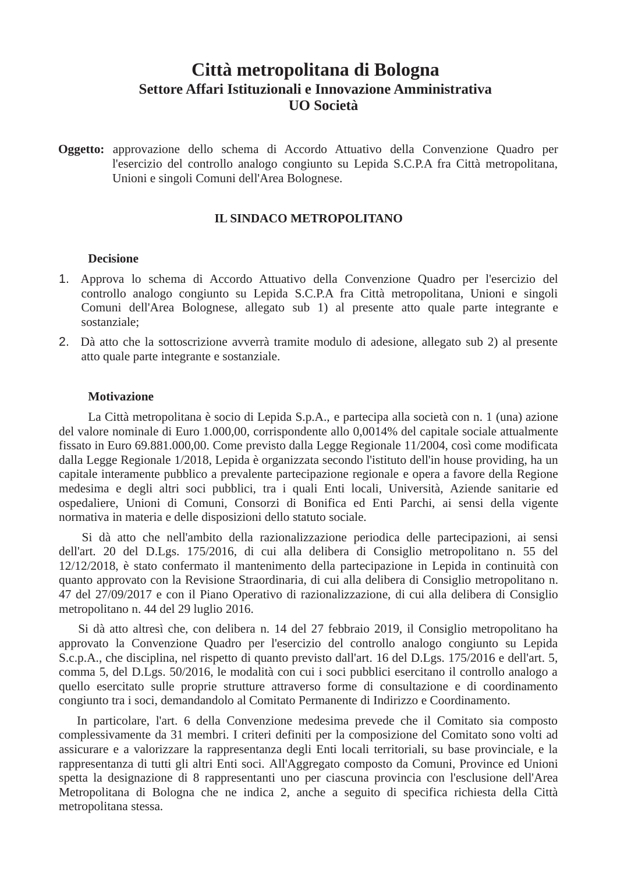# Città metropolitana di Bologna Settore Affari Istituzionali e Innovazione Amministrativa **UO** Società

Oggetto: approvazione dello schema di Accordo Attuativo della Convenzione Quadro per l'esercizio del controllo analogo congiunto su Lepida S.C.P.A fra Città metropolitana, Unioni e singoli Comuni dell'Area Bolognese.

## **IL SINDACO METROPOLITANO**

#### **Decisione**

- 1. Approva lo schema di Accordo Attuativo della Convenzione Quadro per l'esercizio del controllo analogo congiunto su Lepida S.C.P.A fra Città metropolitana, Unioni e singoli Comuni dell'Area Bolognese, allegato sub 1) al presente atto quale parte integrante e sostanziale:
- 2. Dà atto che la sottoscrizione avverrà tramite modulo di adesione, allegato sub 2) al presente atto quale parte integrante e sostanziale.

## **Motivazione**

La Città metropolitana è socio di Lepida S.p.A., e partecipa alla società con n. 1 (una) azione del valore nominale di Euro 1.000,00, corrispondente allo 0,0014% del capitale sociale attualmente fissato in Euro 69.881.000,00. Come previsto dalla Legge Regionale 11/2004, così come modificata dalla Legge Regionale 1/2018, Lepida è organizzata secondo l'istituto dell'in house providing, ha un capitale interamente pubblico a prevalente partecipazione regionale e opera a favore della Regione medesima e degli altri soci pubblici, tra i quali Enti locali, Università, Aziende sanitarie ed ospedaliere, Unioni di Comuni, Consorzi di Bonifica ed Enti Parchi, ai sensi della vigente normativa in materia e delle disposizioni dello statuto sociale.

Si dà atto che nell'ambito della razionalizzazione periodica delle partecipazioni, ai sensi dell'art. 20 del D.Lgs. 175/2016, di cui alla delibera di Consiglio metropolitano n. 55 del 12/12/2018, è stato confermato il mantenimento della partecipazione in Lepida in continuità con quanto approvato con la Revisione Straordinaria, di cui alla delibera di Consiglio metropolitano n. 47 del 27/09/2017 e con il Piano Operativo di razionalizzazione, di cui alla delibera di Consiglio metropolitano n. 44 del 29 luglio 2016.

Si dà atto altresì che, con delibera n. 14 del 27 febbraio 2019, il Consiglio metropolitano ha approvato la Convenzione Quadro per l'esercizio del controllo analogo congiunto su Lepida S.c.p.A., che disciplina, nel rispetto di quanto previsto dall'art. 16 del D.Lgs. 175/2016 e dell'art. 5, comma 5, del D.Lgs. 50/2016, le modalità con cui i soci pubblici esercitano il controllo analogo a quello esercitato sulle proprie strutture attraverso forme di consultazione e di coordinamento congiunto tra i soci, demandandolo al Comitato Permanente di Indirizzo e Coordinamento.

In particolare, l'art. 6 della Convenzione medesima prevede che il Comitato sia composto complessivamente da 31 membri. I criteri definiti per la composizione del Comitato sono volti ad assicurare e a valorizzare la rappresentanza degli Enti locali territoriali, su base provinciale, e la rappresentanza di tutti gli altri Enti soci. All'Aggregato composto da Comuni, Province ed Unioni spetta la designazione di 8 rappresentanti uno per ciascuna provincia con l'esclusione dell'Area Metropolitana di Bologna che ne indica 2, anche a seguito di specifica richiesta della Città metropolitana stessa.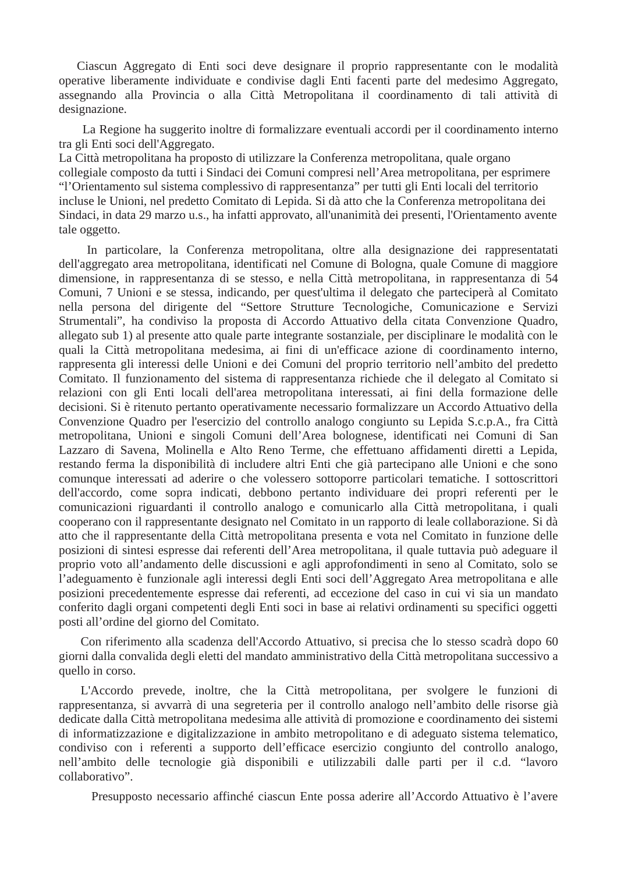Ciascun Aggregato di Enti soci deve designare il proprio rappresentante con le modalità operative liberamente individuate e condivise dagli Enti facenti parte del medesimo Aggregato, assegnando alla Provincia o alla Città Metropolitana il coordinamento di tali attività di designazione.

La Regione ha suggerito inoltre di formalizzare eventuali accordi per il coordinamento interno tra gli Enti soci dell'Aggregato.

La Città metropolitana ha proposto di utilizzare la Conferenza metropolitana, quale organo collegiale composto da tutti i Sindaci dei Comuni compresi nell'Area metropolitana, per esprimere "l'Orientamento sul sistema complessivo di rappresentanza" per tutti gli Enti locali del territorio incluse le Unioni, nel predetto Comitato di Lepida. Si dà atto che la Conferenza metropolitana dei Sindaci, in data 29 marzo u.s., ha infatti approvato, all'unanimità dei presenti, l'Orientamento avente tale oggetto.

In particolare, la Conferenza metropolitana, oltre alla designazione dei rappresentatati dell'aggregato area metropolitana, identificati nel Comune di Bologna, quale Comune di maggiore dimensione, in rappresentanza di se stesso, e nella Città metropolitana, in rappresentanza di 54 Comuni, 7 Unioni e se stessa, indicando, per quest'ultima il delegato che parteciperà al Comitato nella persona del dirigente del "Settore Strutture Tecnologiche, Comunicazione e Servizi Strumentali", ha condiviso la proposta di Accordo Attuativo della citata Convenzione Quadro, allegato sub 1) al presente atto quale parte integrante sostanziale, per disciplinare le modalità con le quali la Città metropolitana medesima, ai fini di un'efficace azione di coordinamento interno, rappresenta gli interessi delle Unioni e dei Comuni del proprio territorio nell'ambito del predetto Comitato. Il funzionamento del sistema di rappresentanza richiede che il delegato al Comitato si relazioni con gli Enti locali dell'area metropolitana interessati, ai fini della formazione delle decisioni. Si è ritenuto pertanto operativamente necessario formalizzare un Accordo Attuativo della Convenzione Quadro per l'esercizio del controllo analogo congiunto su Lepida S.c.p.A., fra Città metropolitana, Unioni e singoli Comuni dell'Area bolognese, identificati nei Comuni di San Lazzaro di Savena, Molinella e Alto Reno Terme, che effettuano affidamenti diretti a Lepida, restando ferma la disponibilità di includere altri Enti che già partecipano alle Unioni e che sono comunque interessati ad aderire o che volessero sottoporre particolari tematiche. I sottoscrittori dell'accordo, come sopra indicati, debbono pertanto individuare dei propri referenti per le comunicazioni riguardanti il controllo analogo e comunicarlo alla Città metropolitana, i quali cooperano con il rappresentante designato nel Comitato in un rapporto di leale collaborazione. Si dà atto che il rappresentante della Città metropolitana presenta e vota nel Comitato in funzione delle posizioni di sintesi espresse dai referenti dell'Area metropolitana, il quale tuttavia può adeguare il proprio voto all'andamento delle discussioni e agli approfondimenti in seno al Comitato, solo se l'adeguamento è funzionale agli interessi degli Enti soci dell'Aggregato Area metropolitana e alle posizioni precedentemente espresse dai referenti, ad eccezione del caso in cui vi sia un mandato conferito dagli organi competenti degli Enti soci in base ai relativi ordinamenti su specifici oggetti posti all'ordine del giorno del Comitato.

Con riferimento alla scadenza dell'Accordo Attuativo, si precisa che lo stesso scadrà dopo 60 giorni dalla convalida degli eletti del mandato amministrativo della Città metropolitana successivo a quello in corso.

L'Accordo prevede, inoltre, che la Città metropolitana, per svolgere le funzioni di rappresentanza, si avvarrà di una segreteria per il controllo analogo nell'ambito delle risorse già dedicate dalla Città metropolitana medesima alle attività di promozione e coordinamento dei sistemi di informatizzazione e digitalizzazione in ambito metropolitano e di adeguato sistema telematico, condiviso con i referenti a supporto dell'efficace esercizio congiunto del controllo analogo, nell'ambito delle tecnologie già disponibili e utilizzabili dalle parti per il c.d. "lavoro collaborativo".

Presupposto necessario affinché ciascun Ente possa aderire all'Accordo Attuativo è l'avere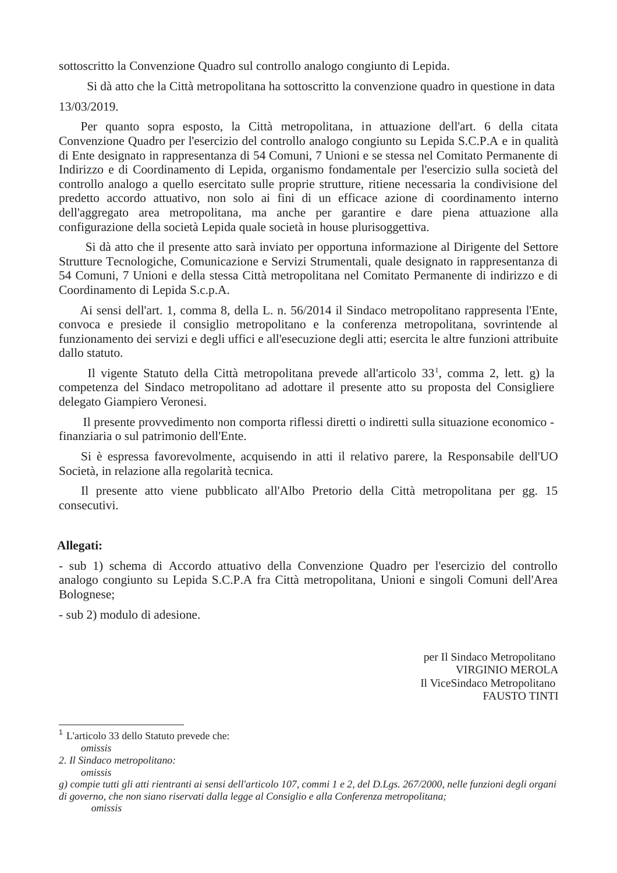sottoscritto la Convenzione Quadro sul controllo analogo congiunto di Lepida.

Si dà atto che la Città metropolitana ha sottoscritto la convenzione quadro in questione in data 13/03/2019.

Per quanto sopra esposto, la Città metropolitana, in attuazione dell'art. 6 della citata Convenzione Quadro per l'esercizio del controllo analogo congiunto su Lepida S.C.P.A e in qualità di Ente designato in rappresentanza di 54 Comuni, 7 Unioni e se stessa nel Comitato Permanente di Indirizzo e di Coordinamento di Lepida, organismo fondamentale per l'esercizio sulla società del controllo analogo a quello esercitato sulle proprie strutture, ritiene necessaria la condivisione del predetto accordo attuativo, non solo ai fini di un efficace azione di coordinamento interno dell'aggregato area metropolitana, ma anche per garantire e dare piena attuazione alla configurazione della società Lepida quale società in house plurisoggettiva.

Si dà atto che il presente atto sarà inviato per opportuna informazione al Dirigente del Settore Strutture Tecnologiche, Comunicazione e Servizi Strumentali, quale designato in rappresentanza di 54 Comuni, 7 Unioni e della stessa Città metropolitana nel Comitato Permanente di indirizzo e di Coordinamento di Lepida S.c.p.A.

Ai sensi dell'art. 1, comma 8, della L. n. 56/2014 il Sindaco metropolitano rappresenta l'Ente, convoca e presiede il consiglio metropolitano e la conferenza metropolitana, sovrintende al funzionamento dei servizi e degli uffici e all'esecuzione degli atti; esercita le altre funzioni attribuite dallo statuto.

Il vigente Statuto della Città metropolitana prevede all'articolo 33<sup>1</sup>, comma 2, lett. g) la competenza del Sindaco metropolitano ad adottare il presente atto su proposta del Consigliere delegato Giampiero Veronesi.

Il presente provvedimento non comporta riflessi diretti o indiretti sulla situazione economico finanziaria o sul patrimonio dell'Ente.

Si è espressa favorevolmente, acquisendo in atti il relativo parere, la Responsabile dell'UO Società, in relazione alla regolarità tecnica.

Il presente atto viene pubblicato all'Albo Pretorio della Città metropolitana per gg. 15 consecutivi.

# Allegati:

- sub 1) schema di Accordo attuativo della Convenzione Quadro per l'esercizio del controllo analogo congiunto su Lepida S.C.P.A fra Città metropolitana, Unioni e singoli Comuni dell'Area Bolognese;

- sub 2) modulo di adesione.

per Il Sindaco Metropolitano VIRGINIO MEROLA Il ViceSindaco Metropolitano **FAUSTO TINTI** 

 $1$  L'articolo 33 dello Statuto prevede che: omissis

<sup>2.</sup> Il Sindaco metropolitano:

omissis

g) compie tutti gli atti rientranti ai sensi dell'articolo 107, commi 1 e 2, del D.Lqs. 267/2000, nelle funzioni degli organi di governo, che non siano riservati dalla legge al Consiglio e alla Conferenza metropolitana;